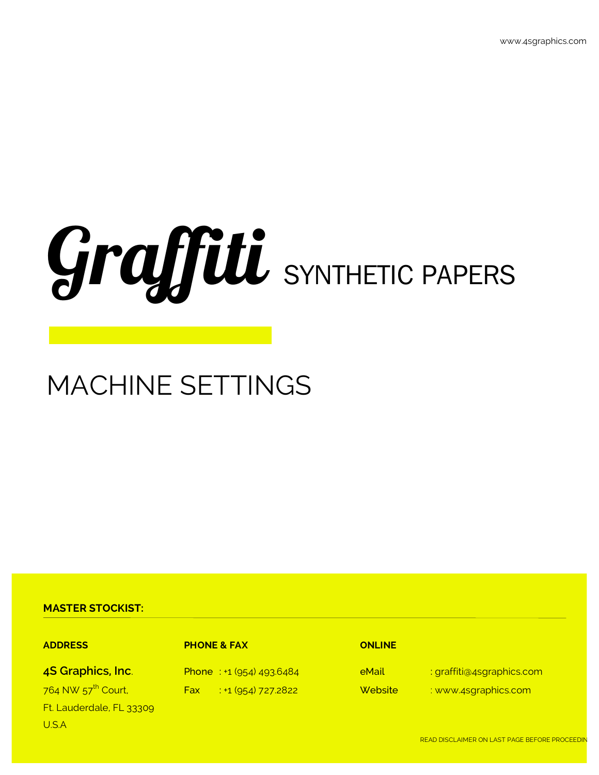# Graffiti SYNTHETIC PAPERS

# MACHINE SETTINGS

## **MASTER STOCKIST:**

### **ADDRESS PHONE & FAX ONLINE**

Ft. Lauderdale, FL 33309 U.S.A

**4S Graphics, Inc.** Phone : +1 (954) 493.6484 **eMail** : graffiti@4sgraphics.com 764 NW 57<sup>th</sup> Court, Fax : +1 (954) 727.2822 Website : www.4sgraphics.com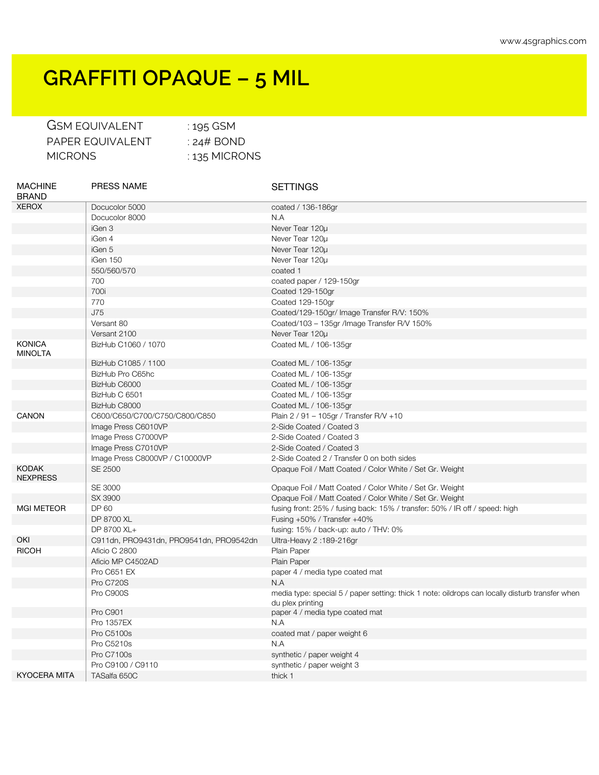## **GRAFFITI OPAQUE – 5 MIL**

| <b>GSM EQUIVALENT</b> | : 195 GSM       |
|-----------------------|-----------------|
| PAPER EQUIVALENT      | : 24# BOND      |
| MICRONS.              | $: 135$ MICRONS |

| <b>MACHINE</b><br><b>BRAND</b>  | <b>PRESS NAME</b>                       | <b>SETTINGS</b>                                                                                                     |
|---------------------------------|-----------------------------------------|---------------------------------------------------------------------------------------------------------------------|
| <b>XEROX</b>                    | Docucolor 5000                          | coated / 136-186gr                                                                                                  |
|                                 | Docucolor 8000                          | N.A                                                                                                                 |
|                                 | iGen 3                                  | Never Tear 120µ                                                                                                     |
|                                 | iGen 4                                  | Never Tear 120u                                                                                                     |
|                                 | iGen 5                                  | Never Tear 120µ                                                                                                     |
|                                 | iGen 150                                | Never Tear 120µ                                                                                                     |
|                                 | 550/560/570                             | coated 1                                                                                                            |
|                                 | 700                                     | coated paper / 129-150gr                                                                                            |
|                                 | 700i                                    | Coated 129-150gr                                                                                                    |
|                                 | 770                                     | Coated 129-150gr                                                                                                    |
|                                 | J75                                     | Coated/129-150gr/ Image Transfer R/V: 150%                                                                          |
|                                 | Versant 80                              | Coated/103 - 135gr /lmage Transfer R/V 150%                                                                         |
|                                 | Versant 2100                            | Never Tear 120µ                                                                                                     |
| <b>KONICA</b><br><b>MINOLTA</b> | BizHub C1060 / 1070                     | Coated ML / 106-135gr                                                                                               |
|                                 | BizHub C1085 / 1100                     | Coated ML / 106-135gr                                                                                               |
|                                 | BizHub Pro C65hc                        | Coated ML / 106-135gr                                                                                               |
|                                 | BizHub C6000                            | Coated ML / 106-135gr                                                                                               |
|                                 | BizHub C 6501                           | Coated ML / 106-135gr                                                                                               |
|                                 | BizHub C8000                            | Coated ML / 106-135gr                                                                                               |
| <b>CANON</b>                    | C600/C650/C700/C750/C800/C850           | Plain 2 / 91 - 105gr / Transfer R/V +10                                                                             |
|                                 | Image Press C6010VP                     | 2-Side Coated / Coated 3                                                                                            |
|                                 | Image Press C7000VP                     | 2-Side Coated / Coated 3                                                                                            |
|                                 | Image Press C7010VP                     | 2-Side Coated / Coated 3                                                                                            |
|                                 | Image Press C8000VP / C10000VP          | 2-Side Coated 2 / Transfer 0 on both sides                                                                          |
| <b>KODAK</b><br><b>NEXPRESS</b> | SE 2500                                 | Opaque Foil / Matt Coated / Color White / Set Gr. Weight                                                            |
|                                 | SE 3000                                 | Opaque Foil / Matt Coated / Color White / Set Gr. Weight                                                            |
|                                 | SX 3900                                 | Opaque Foil / Matt Coated / Color White / Set Gr. Weight                                                            |
| <b>MGI METEOR</b>               | DP 60                                   | fusing front: 25% / fusing back: 15% / transfer: 50% / IR off / speed: high                                         |
|                                 | DP 8700 XL                              | Fusing +50% / Transfer +40%                                                                                         |
|                                 | DP 8700 XL+                             | fusing: 15% / back-up: auto / THV: 0%                                                                               |
| OKI                             | C911dn, PRO9431dn, PRO9541dn, PRO9542dn | Ultra-Heavy 2:189-216gr                                                                                             |
| <b>RICOH</b>                    | Aficio C 2800                           | Plain Paper                                                                                                         |
|                                 | Aficio MP C4502AD                       | Plain Paper                                                                                                         |
|                                 | Pro C651 EX                             | paper 4 / media type coated mat                                                                                     |
|                                 | Pro C720S                               | N.A                                                                                                                 |
|                                 | Pro C900S                               | media type: special 5 / paper setting: thick 1 note: oildrops can locally disturb transfer when<br>du plex printing |
|                                 | Pro C901                                | paper 4 / media type coated mat                                                                                     |
|                                 | Pro 1357EX                              | N.A                                                                                                                 |
|                                 | Pro C5100s                              | coated mat / paper weight 6                                                                                         |
|                                 | Pro C5210s                              | N.A                                                                                                                 |
|                                 | <b>Pro C7100s</b>                       | synthetic / paper weight 4                                                                                          |
|                                 | Pro C9100 / C9110                       | synthetic / paper weight 3                                                                                          |
| <b>KYOCERA MITA</b>             | TASalfa 650C                            | thick 1                                                                                                             |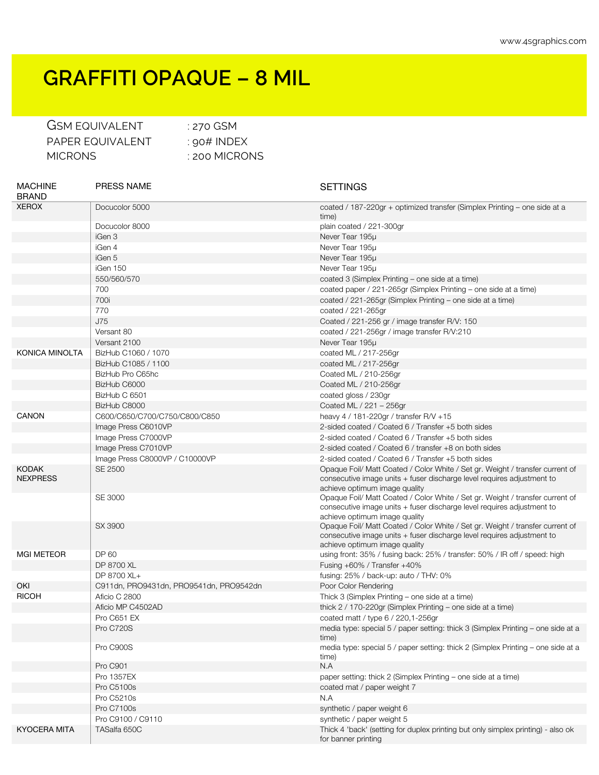## **GRAFFITI OPAQUE – 8 MIL**

| <b>GSM EQUIVALENT</b> |
|-----------------------|
| PAPER FOUIVAL ENT     |
| MICRONS               |

 $:$  270 GSM  $\pm$  90# INDEX : 200 MICRONS

MACHINE BRAND PRESS NAME SETTINGS XEROX Docucolor 5000 coated / 187-220gr + optimized transfer (Simplex Printing – one side at a time) Docucolor 8000 plain coated / 221-300gr iGen 3 Never Tear 195μ iGen 4 Never Tear 195μ iGen 5 Never Tear 195μ iGen 150 Never Tear 195μ 550/560/570 coated 3 (Simplex Printing – one side at a time) 700 coated paper / 221-265gr (Simplex Printing – one side at a time) 700i coated / 221-265gr (Simplex Printing – one side at a time) 770 coated / 221-265gr J75 Coated / 221-256 gr / image transfer R/V: 150 Versant 80 coated / 221-256gr / image transfer R/V:210 Versant 2100 **Never Tear 195μ** KONICA MINOLTA | BizHub C1060 / 1070 coated ML / 217-256gr BizHub C1085 / 1100 **coated ML / 217-256gr** BizHub Pro C65hc Coated ML / 210-256gr BizHub C6000 Coated ML / 210-256gr BizHub C 6501 coated gloss / 230gr BizHub C8000 Coated ML / 221 – 256gr C600/C650/C700/C750/C800/C850 heavy 4 / 181-220gr / transfer R/V +15 Image Press C6010VP 2-sided coated / Coated 6 / Transfer +5 both sides Image Press C7000VP 2-sided coated / Coated 6 / Transfer +5 both sides Image Press C7010VP 2-sided coated / Coated 6 / transfer +8 on both sides Image Press C8000VP / C10000VP 2-sided coated / Coated 6 / Transfer +5 both sides KODAK NEXPRESS SE 2500 Opaque Foil/ Matt Coated / Color White / Set gr. Weight / transfer current of consecutive image units + fuser discharge level requires adjustment to achieve optimum image quality SE 3000 Opaque Foil/ Matt Coated / Color White / Set gr. Weight / transfer current of consecutive image units + fuser discharge level requires adjustment to achieve optimum image quality SX 3900 Opaque Foil/ Matt Coated / Color White / Set gr. Weight / transfer current of consecutive image units + fuser discharge level requires adjustment to achieve optimum image quality MGI METEOR DP 60 DP 60 using front: 35% / fusing back: 25% / transfer: 50% / IR off / speed: high DP 8700 XL **Fusing +60% / Transfer +40%** DP 8700 XL+ fusing: 25% / back-up: auto / THV: 0% OKI C911dn, PRO9431dn, PRO9541dn, PRO9542dn Poor Color Rendering RICOH Aficio C 2800 Aficio C 2800 Aficia C 1980 and Afice 3 (Simplex Printing – one side at a time) Aficio MP C4502AD thick 2 / 170-220gr (Simplex Printing – one side at a time) Pro C651 EX coated matt / type 6 / 220,1-256gr Pro C720S media type: special 5 / paper setting: thick 3 (Simplex Printing – one side at a time) Pro C900S media type: special 5 / paper setting: thick 2 (Simplex Printing – one side at a time) Pro C901 N.A Pro 1357EX paper setting: thick 2 (Simplex Printing – one side at a time) Pro C5100s coated mat / paper weight 7 Pro C5210s N.A Pro C7100s **Synthetic / paper weight 6** Pro C9100 / C9110 Synthetic / paper weight 5 KYOCERA MITA | TASalfa 650C Thick 4 'back' (setting for duplex printing but only simplex printing) - also ok for banner printing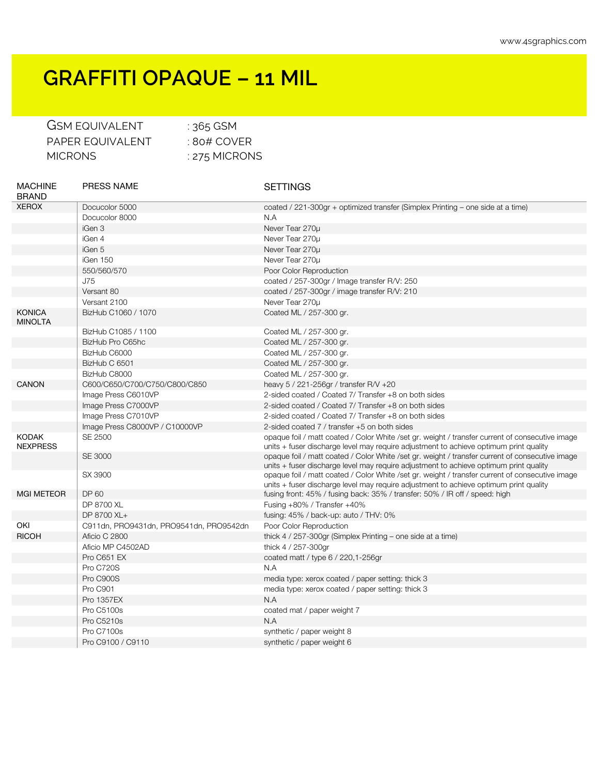## **GRAFFITI OPAQUE – 11 MIL**

| <b>GSM EQUIVALENT</b> | : $365$ GSM     |
|-----------------------|-----------------|
| PAPER FOUIVALENT      | $\pm$ 80# COVER |
| MICRONS               | : 275 MICRONS   |

| <b>MACHINE</b><br><b>BRAND</b>  | <b>PRESS NAME</b>                       | <b>SETTINGS</b>                                                                                                                                                                          |
|---------------------------------|-----------------------------------------|------------------------------------------------------------------------------------------------------------------------------------------------------------------------------------------|
| <b>XEROX</b>                    | Docucolor 5000                          | coated / 221-300gr + optimized transfer (Simplex Printing – one side at a time)                                                                                                          |
|                                 | Docucolor 8000                          | N.A                                                                                                                                                                                      |
|                                 | iGen 3                                  | Never Tear 270µ                                                                                                                                                                          |
|                                 | iGen 4                                  | Never Tear 270u                                                                                                                                                                          |
|                                 | iGen 5                                  | Never Tear 270µ                                                                                                                                                                          |
|                                 | iGen 150                                | Never Tear 270u                                                                                                                                                                          |
|                                 | 550/560/570                             | Poor Color Reproduction                                                                                                                                                                  |
|                                 | <b>J75</b>                              | coated / 257-300gr / Image transfer R/V: 250                                                                                                                                             |
|                                 | Versant 80                              | coated / 257-300gr / image transfer R/V: 210                                                                                                                                             |
|                                 | Versant 2100                            | Never Tear 270u                                                                                                                                                                          |
| <b>KONICA</b><br><b>MINOLTA</b> | BizHub C1060 / 1070                     | Coated ML / 257-300 gr.                                                                                                                                                                  |
|                                 | BizHub C1085 / 1100                     | Coated ML / 257-300 gr.                                                                                                                                                                  |
|                                 | BizHub Pro C65hc                        | Coated ML / 257-300 gr.                                                                                                                                                                  |
|                                 | BizHub C6000                            | Coated ML / 257-300 gr.                                                                                                                                                                  |
|                                 | BizHub C 6501                           | Coated ML / 257-300 gr.                                                                                                                                                                  |
|                                 | BizHub C8000                            | Coated ML / 257-300 gr.                                                                                                                                                                  |
| <b>CANON</b>                    | C600/C650/C700/C750/C800/C850           | heavy 5 / 221-256gr / transfer R/V +20                                                                                                                                                   |
|                                 | Image Press C6010VP                     | 2-sided coated / Coated 7/ Transfer +8 on both sides                                                                                                                                     |
|                                 | Image Press C7000VP                     | 2-sided coated / Coated 7/ Transfer +8 on both sides                                                                                                                                     |
|                                 | Image Press C7010VP                     | 2-sided coated / Coated 7/ Transfer +8 on both sides                                                                                                                                     |
|                                 | Image Press C8000VP / C10000VP          | 2-sided coated 7 / transfer +5 on both sides                                                                                                                                             |
| <b>KODAK</b><br><b>NEXPRESS</b> | SE 2500                                 | opaque foil / matt coated / Color White /set gr. weight / transfer current of consecutive image<br>units + fuser discharge level may require adjustment to achieve optimum print quality |
|                                 | <b>SE 3000</b>                          | opaque foil / matt coated / Color White /set gr. weight / transfer current of consecutive image<br>units + fuser discharge level may require adjustment to achieve optimum print quality |
|                                 | SX 3900                                 | opaque foil / matt coated / Color White /set gr. weight / transfer current of consecutive image<br>units + fuser discharge level may require adjustment to achieve optimum print quality |
| <b>MGI METEOR</b>               | DP 60                                   | fusing front: 45% / fusing back: 35% / transfer: 50% / IR off / speed: high                                                                                                              |
|                                 | DP 8700 XL                              | Fusing +80% / Transfer +40%                                                                                                                                                              |
|                                 | DP 8700 XL+                             | fusing: $45\%$ / back-up: auto / THV: 0%                                                                                                                                                 |
| OKI                             | C911dn, PRO9431dn, PRO9541dn, PRO9542dn | Poor Color Reproduction                                                                                                                                                                  |
| <b>RICOH</b>                    | Aficio C 2800                           | thick 4 / 257-300gr (Simplex Printing – one side at a time)                                                                                                                              |
|                                 | Aficio MP C4502AD                       | thick 4 / 257-300gr                                                                                                                                                                      |
|                                 | Pro C651 EX                             | coated matt / type 6 / 220,1-256gr                                                                                                                                                       |
|                                 | Pro C720S                               | N.A                                                                                                                                                                                      |
|                                 | Pro C900S                               | media type: xerox coated / paper setting: thick 3                                                                                                                                        |
|                                 | Pro C901                                | media type: xerox coated / paper setting: thick 3                                                                                                                                        |
|                                 | <b>Pro 1357EX</b>                       | N.A                                                                                                                                                                                      |
|                                 | <b>Pro C5100s</b>                       | coated mat / paper weight 7                                                                                                                                                              |
|                                 | <b>Pro C5210s</b>                       | N.A                                                                                                                                                                                      |
|                                 | <b>Pro C7100s</b>                       | synthetic / paper weight 8                                                                                                                                                               |
|                                 | Pro C9100 / C9110                       | synthetic / paper weight 6                                                                                                                                                               |